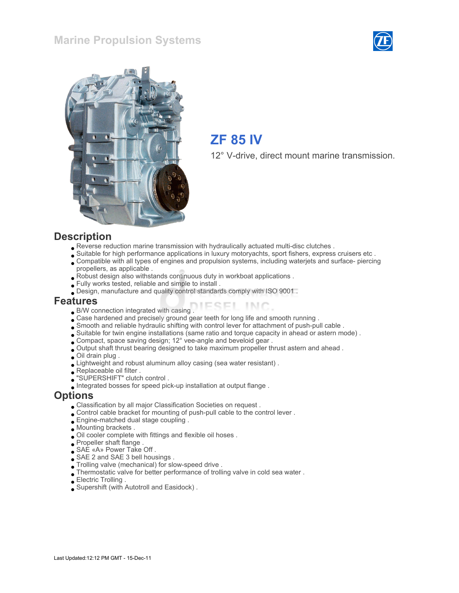#### Marine Propulsion Systems





# ZF 85 IV

12° V-drive, direct mount marine transmission.

#### **Description**

- Reverse reduction marine transmission with hydraulically actuated multi-disc clutches .
- Suitable for high performance applications in luxury motoryachts, sport fishers, express cruisers etc .
- Compatible with all types of engines and propulsion systems, including waterjets and surface- piercing propellers, as applicable .
- Robust design also withstands continuous duty in workboat applications .
- Fully works tested, reliable and simple to install .
- Design, manufacture and quality control standards comply with ISO 9001 .

#### Features

- B/W connection integrated with casing .
- Case hardened and precisely ground gear teeth for long life and smooth running .
- Smooth and reliable hydraulic shifting with control lever for attachment of push-pull cable .
- Suitable for twin engine installations (same ratio and torque capacity in ahead or astern mode) .
- Compact, space saving design; 12° vee-angle and beveloid gear .
- Output shaft thrust bearing designed to take maximum propeller thrust astern and ahead .
- Oil drain plug .
- Lightweight and robust aluminum alloy casing (sea water resistant) .
- Replaceable oil filter .
- "SUPERSHIFT" clutch control .
- Integrated bosses for speed pick-up installation at output flange .

#### **Options**

- Classification by all major Classification Societies on request .
- Control cable bracket for mounting of push-pull cable to the control lever .
- Engine-matched dual stage coupling .
- Mounting brackets .
- Oil cooler complete with fittings and flexible oil hoses .
- Propeller shaft flange .
- SAE «A» Power Take Off .
- SAE 2 and SAE 3 bell housings .
- Trolling valve (mechanical) for slow-speed drive .
- Thermostatic valve for better performance of trolling valve in cold sea water .
- Electric Trolling .
- Supershift (with Autotroll and Easidock) .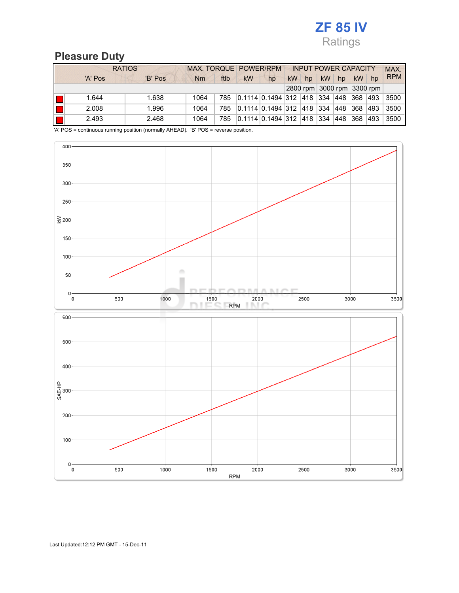

#### Pleasure Duty

|    | <b>RATIOS</b> | MAX. TORQUE POWER/RPM |      |      | <b>INPUT POWER CAPACITY</b>      |    |           |     |     |                            | MAX. |     |            |
|----|---------------|-----------------------|------|------|----------------------------------|----|-----------|-----|-----|----------------------------|------|-----|------------|
|    | 'A' Pos       | 'B' Pos               | Nm   | ftlb | kW                               | hp | <b>kW</b> | hp  | kW  | hp                         | kW   | hp  | <b>RPM</b> |
|    |               |                       |      |      |                                  |    |           |     |     | 2800 rpm 3000 rpm 3300 rpm |      |     |            |
| IИ | 1.644         | 1.638                 | 1064 | 785  | 0.1114  0.1494   312   418   334 |    |           |     |     | 448                        | 368  | 493 | 3500       |
| IE | 2.008         | 1.996                 | 1064 | 785  | 0.1114  0.1494   312   418       |    |           |     | 334 | 448                        | 368  | 493 | 3500       |
| IГ | 2.493         | 2.468                 | 1064 | 785  | 0.1114 0.1494 312                |    |           | 418 | 334 | 448                        | 368  | 493 | 3500       |

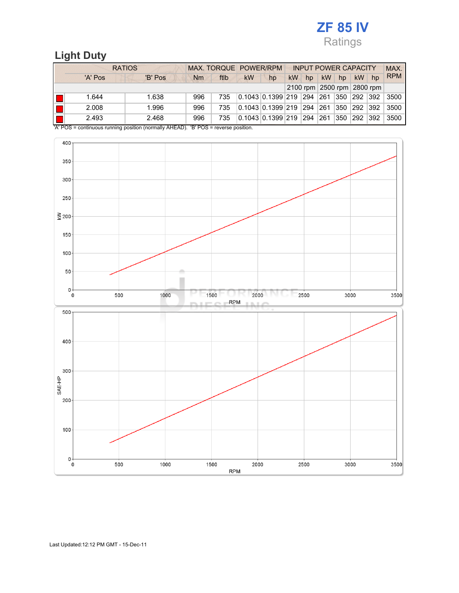## ZF 85 IV Ratings

## Light Duty

|    | <b>RATIOS</b> |         |           | MAX. TORQUE POWER/RPM |           |                                        |    | <b>INPUT POWER CAPACITY</b> |                            |                  |     |     | MAX.       |
|----|---------------|---------|-----------|-----------------------|-----------|----------------------------------------|----|-----------------------------|----------------------------|------------------|-----|-----|------------|
|    | 'A' Pos       | 'B' Pos | <b>Nm</b> | ftlb                  | <b>kW</b> | hp                                     | kW | hp                          | kW                         | hp               | kW  | hp  | <b>RPM</b> |
|    |               |         |           |                       |           |                                        |    |                             | 2100 rpm 2500 rpm 2800 rpm |                  |     |     |            |
| ll | 1.644         | 1.638   | 996       | 735                   |           | $0.1043 \mid 0.1399 \mid 219 \mid 294$ |    |                             | 261                        | 350              | 292 | 392 | 3500       |
| H  | 2.008         | 1.996   | 996       | 735                   |           | $0.1043$ $0.1399$ $219$                |    | 294                         | 261                        | 350 <sub>1</sub> | 292 | 392 | 3500       |
| lI | 2.493         | 2.468   | 996       | 735                   |           | $0.1043 \mid 0.1399 \mid 219$          |    | 294                         | 261                        | 350              | 292 | 392 | 3500       |

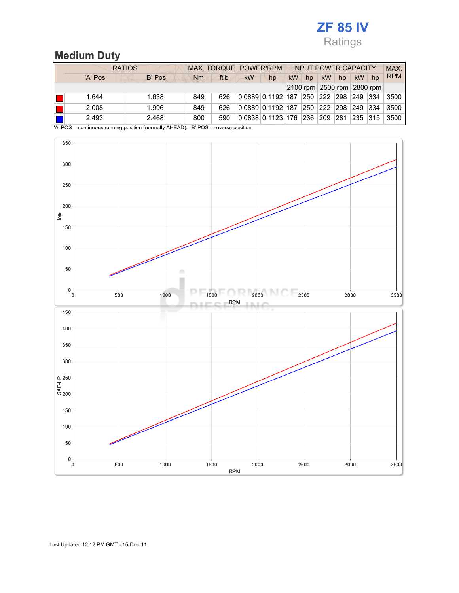## ZF 85 IV Ratings

## Medium Duty

|    | <b>RATIOS</b> |         |           | MAX. TORQUE POWER/RPM |           |                                        |           | <b>INPUT POWER CAPACITY</b> |     |                         |     |                            | MAX.       |
|----|---------------|---------|-----------|-----------------------|-----------|----------------------------------------|-----------|-----------------------------|-----|-------------------------|-----|----------------------------|------------|
|    | 'A' Pos       | 'B' Pos | <b>Nm</b> | ftlb                  | <b>kW</b> | hp                                     | <b>kW</b> | hp                          | kW  | hp                      | kW  | hp                         | <b>RPM</b> |
|    |               |         |           |                       |           |                                        |           |                             |     |                         |     | 2100 rpm 2500 rpm 2800 rpm |            |
| ll | 1.644         | 1.638   | 849       | 626                   |           | $0.0889$ 0.1192 187                    |           |                             |     | 250  222  298  249  334 |     |                            | 3500       |
| lI | 2.008         | 1.996   | 849       | 626                   |           | 0.088910.11921187                      |           | 250   222                   |     | 298 249                 |     | 334                        | 3500       |
| IГ | 2.493         | 2.468   | 800       | 590                   |           | $0.0838 \mid 0.1123 \mid 176 \mid 236$ |           |                             | 209 | 281                     | 235 | 315                        | 3500       |

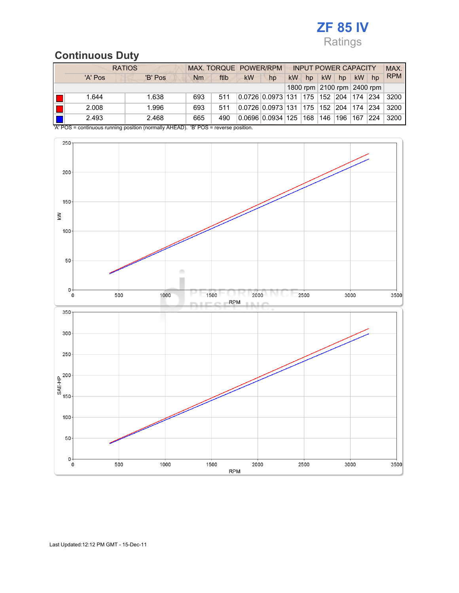# ZF 85 IV Ratings

## Continuous Duty

|    | <b>RATIOS</b> |         |     | MAX. TORQUE POWER/RPM |           |                   |           | <b>INPUT POWER CAPACITY</b> |                            |               |     |     | MAX.       |
|----|---------------|---------|-----|-----------------------|-----------|-------------------|-----------|-----------------------------|----------------------------|---------------|-----|-----|------------|
|    | 'A' Pos       | 'B' Pos | Nm  | ftlb                  | <b>kW</b> | hp                | <b>kW</b> | hp                          | kW                         | hp            | kW  | hp  | <b>RPM</b> |
|    |               |         |     |                       |           |                   |           |                             | 1800 rpm 2100 rpm 2400 rpm |               |     |     |            |
| H  | 1.644         | 1.638   | 693 | 511                   |           | 0.0726 0.0973 131 |           | 175                         | 152 204                    |               | 174 | 234 | 3200       |
| H  | 2.008         | 1.996   | 693 | 511                   |           | 0.0726 0.0973 131 |           | 175                         | 152                        | $ 204\rangle$ | 174 | 234 | 3200       |
| IE | 2.493         | 2.468   | 665 | 490                   |           | 0.0696 0.0934 125 |           | 168                         | 146                        | 196           | 167 | 224 | 3200       |

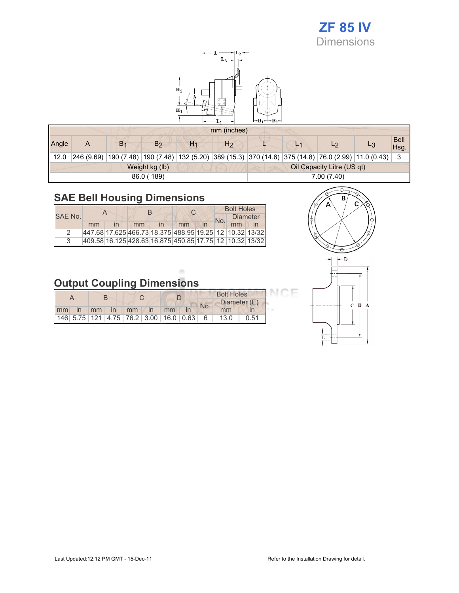# ZF 85 IV

**Dimensions** 



|       |            |                |                |                | mm (inches)    |                            |                |                |                                                                                             |                    |  |  |
|-------|------------|----------------|----------------|----------------|----------------|----------------------------|----------------|----------------|---------------------------------------------------------------------------------------------|--------------------|--|--|
| Angle | A          | B <sub>1</sub> | B <sub>2</sub> | H <sub>1</sub> | H <sub>2</sub> |                            | L <sub>1</sub> | L <sub>2</sub> |                                                                                             | <b>Bell</b><br>Hsg |  |  |
| 12.0  | 246 (9.69) |                |                |                |                |                            |                |                | 190 (7.48) 190 (7.48) 132 (5.20) 389 (15.3) 370 (14.6) 375 (14.8) 76.0 (2.99) 11.0 (0.43) 1 |                    |  |  |
|       |            |                | Weight kg (lb) |                |                | Oil Capacity Litre (US qt) |                |                |                                                                                             |                    |  |  |
|       |            |                | 86.0 (189)     |                | 7.00 (7.40)    |                            |                |                |                                                                                             |                    |  |  |

## SAE Bell Housing Dimensions

|         |                                                         |    | R |    | <b>Bolt Holes</b> |                 |  |  |
|---------|---------------------------------------------------------|----|---|----|-------------------|-----------------|--|--|
| SAE No. |                                                         |    |   |    | No.               | <b>Diameter</b> |  |  |
|         | mm                                                      | mm |   | mm |                   | mm              |  |  |
|         | 447.68 17.625 466.73 18.375 488.95 19.25 12 10.32 13/32 |    |   |    |                   |                 |  |  |
|         | 409.58 16.125 428.63 16.875 450.85 17.75 12 10.32 13/32 |    |   |    |                   |                 |  |  |



CE

# Output Coupling Dimensions

|    |  |    |    |                                                          |  |    | <b>Bolt Holes</b> |  |      |      |              |  |
|----|--|----|----|----------------------------------------------------------|--|----|-------------------|--|------|------|--------------|--|
|    |  |    |    |                                                          |  |    |                   |  |      | No.  | Diameter (E) |  |
| mm |  | mm | in | mm                                                       |  | mm |                   |  | mm   |      |              |  |
|    |  |    |    | 146  5.75   121   4.75   76.2   3.00   16.0   0.63     6 |  |    |                   |  | 13.0 | 0.51 |              |  |

 $\alpha$